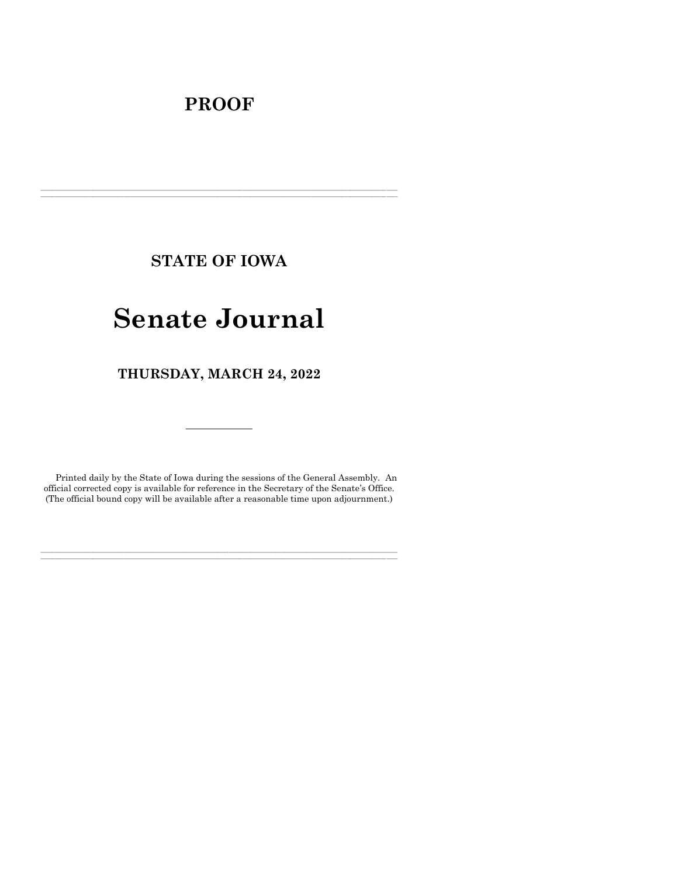## **PROOF**

**STATE OF IOWA**

**\_\_\_\_\_\_\_\_\_\_\_\_\_\_\_\_\_\_\_\_\_\_\_\_\_\_\_\_\_\_\_\_\_\_\_\_\_\_\_\_\_\_\_\_\_\_\_\_\_\_\_\_\_\_\_\_\_\_\_\_\_\_\_\_\_\_\_\_\_\_\_\_\_\_\_\_\_\_\_\_\_\_\_\_\_\_\_\_\_\_\_\_\_\_\_\_\_\_\_\_\_\_\_\_\_\_\_\_\_\_\_\_\_\_\_\_\_\_\_\_\_\_\_\_\_\_\_\_\_ \_\_\_\_\_\_\_\_\_\_\_\_\_\_\_\_\_\_\_\_\_\_\_\_\_\_\_\_\_\_\_\_\_\_\_\_\_\_\_\_\_\_\_\_\_\_\_\_\_\_\_\_\_\_\_\_\_\_\_\_\_\_\_\_\_\_\_\_\_\_\_\_\_\_\_\_\_\_\_\_\_\_\_\_\_\_\_\_\_\_\_\_\_\_\_\_\_\_\_\_\_\_\_\_\_\_\_\_\_\_\_\_\_\_\_\_\_\_\_\_\_\_\_\_\_\_\_\_\_**

# **Senate Journal**

**THURSDAY, MARCH 24, 2022**

Printed daily by the State of Iowa during the sessions of the General Assembly. An official corrected copy is available for reference in the Secretary of the Senate's Office. (The official bound copy will be available after a reasonable time upon adjournment.)

**\_\_\_\_\_\_\_\_\_\_\_\_\_\_\_\_\_\_\_\_\_\_\_\_\_\_\_\_\_\_\_\_\_\_\_\_\_\_\_\_\_\_\_\_\_\_\_\_\_\_\_\_\_\_\_\_\_\_\_\_\_\_\_\_\_\_\_\_\_\_\_\_\_\_\_\_\_\_\_\_\_\_\_\_\_\_\_\_\_\_\_\_\_\_\_\_\_\_\_\_\_\_\_\_\_\_\_\_\_\_\_\_\_\_\_\_\_\_\_\_\_\_\_\_\_\_\_\_\_ \_\_\_\_\_\_\_\_\_\_\_\_\_\_\_\_\_\_\_\_\_\_\_\_\_\_\_\_\_\_\_\_\_\_\_\_\_\_\_\_\_\_\_\_\_\_\_\_\_\_\_\_\_\_\_\_\_\_\_\_\_\_\_\_\_\_\_\_\_\_\_\_\_\_\_\_\_\_\_\_\_\_\_\_\_\_\_\_\_\_\_\_\_\_\_\_\_\_\_\_\_\_\_\_\_\_\_\_\_\_\_\_\_\_\_\_\_\_\_\_\_\_\_\_\_\_\_\_\_**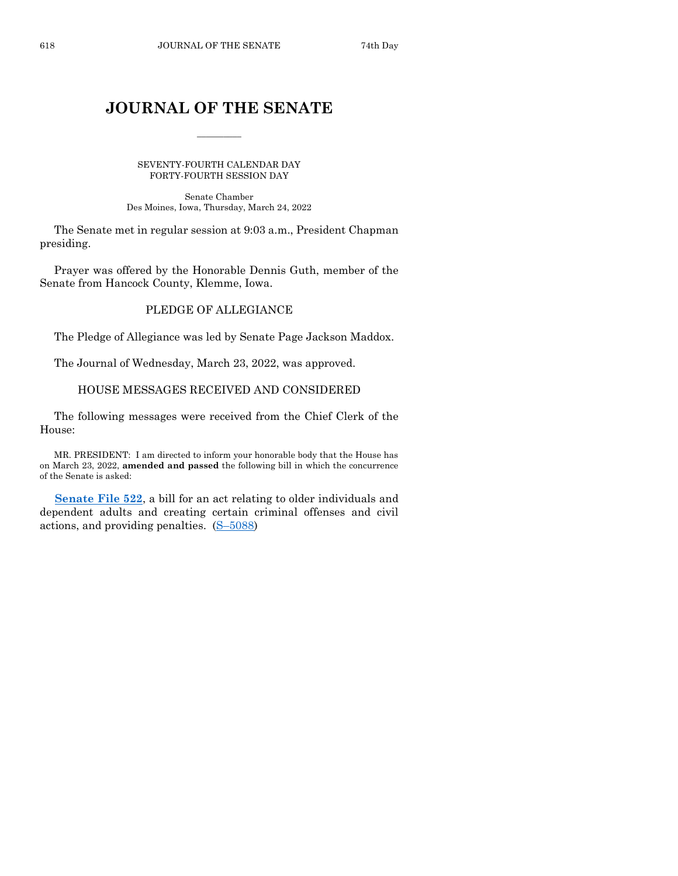## **JOURNAL OF THE SENATE**

 $\frac{1}{2}$ 

SEVENTY-FOURTH CALENDAR DAY FORTY-FOURTH SESSION DAY

Senate Chamber Des Moines, Iowa, Thursday, March 24, 2022

The Senate met in regular session at 9:03 a.m., President Chapman presiding.

Prayer was offered by the Honorable Dennis Guth, member of the Senate from Hancock County, Klemme, Iowa.

## PLEDGE OF ALLEGIANCE

The Pledge of Allegiance was led by Senate Page Jackson Maddox.

The Journal of Wednesday, March 23, 2022, was approved.

## HOUSE MESSAGES RECEIVED AND CONSIDERED

The following messages were received from the Chief Clerk of the House:

MR. PRESIDENT: I am directed to inform your honorable body that the House has on March 23, 2022, **amended and passed** the following bill in which the concurrence of the Senate is asked:

**[Senate File 522](https://www.legis.iowa.gov/legislation/BillBook?ga=89&ba=SF522)**, a bill for an act relating to older individuals and dependent adults and creating certain criminal offenses and civil actions, and providing penalties. (S–[5088\)](https://www.legis.iowa.gov/legislation/BillBook?ga=89&ba=S5088)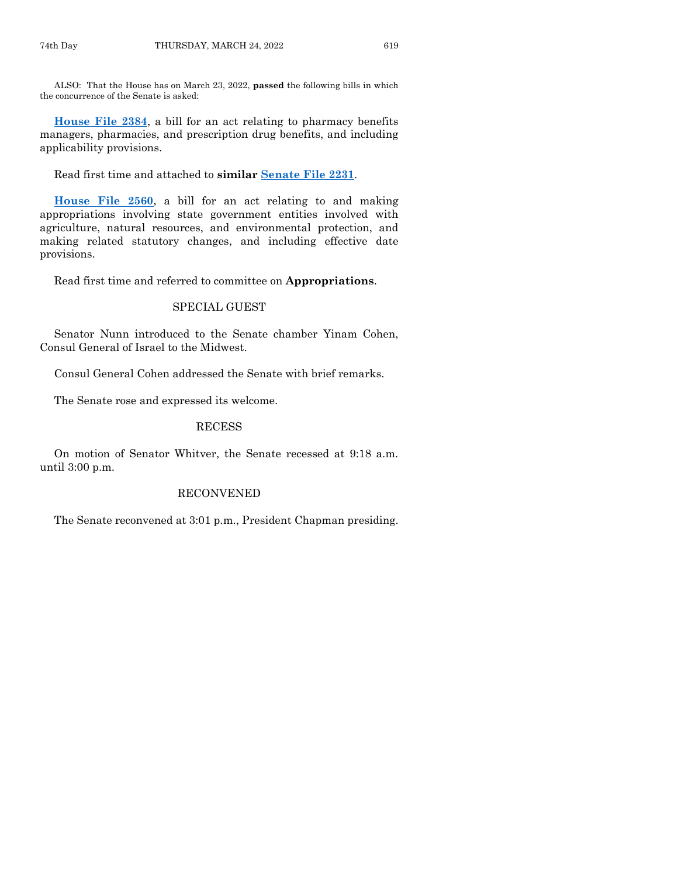ALSO: That the House has on March 23, 2022, **passed** the following bills in which the concurrence of the Senate is asked:

**[House File 2384](https://www.legis.iowa.gov/legislation/BillBook?ga=89&ba=HF2384)**, a bill for an act relating to pharmacy benefits managers, pharmacies, and prescription drug benefits, and including applicability provisions.

Read first time and attached to **similar [Senate File 2231](https://www.legis.iowa.gov/legislation/BillBook?ga=89&ba=SF2231)**.

**[House File 2560](https://www.legis.iowa.gov/legislation/BillBook?ga=89&ba=HF2560)**, a bill for an act relating to and making appropriations involving state government entities involved with agriculture, natural resources, and environmental protection, and making related statutory changes, and including effective date provisions.

Read first time and referred to committee on **Appropriations**.

## SPECIAL GUEST

Senator Nunn introduced to the Senate chamber Yinam Cohen, Consul General of Israel to the Midwest.

Consul General Cohen addressed the Senate with brief remarks.

The Senate rose and expressed its welcome.

## RECESS

On motion of Senator Whitver, the Senate recessed at 9:18 a.m. until 3:00 p.m.

#### RECONVENED

The Senate reconvened at 3:01 p.m., President Chapman presiding.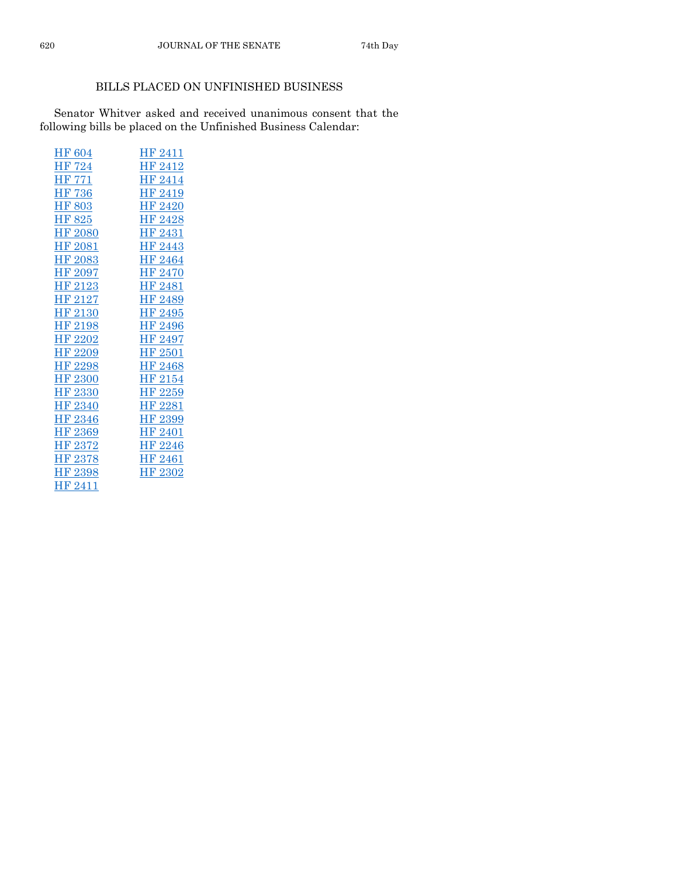## BILLS PLACED ON UNFINISHED BUSINESS

Senator Whitver asked and received unanimous consent that the following bills be placed on the Unfinished Business Calendar:

| HF 2411            |
|--------------------|
| HF 2412            |
| HF 2414            |
| HF 2419            |
| <b>HF 2420</b>     |
| HF 2428            |
| HF 2431            |
| HF <sub>2443</sub> |
| HF 2464            |
| HF 2470            |
| <b>HF 2481</b>     |
| HF 2489            |
| HF 2495            |
| HF 2496            |
| HF 2497            |
| HF 2501            |
|                    |
| HF <sub>2468</sub> |
| HF 2154            |
| HF 2259            |
| HF 2281            |
| HF 2399            |
| <b>HF 2401</b>     |
| HF 2246            |
| HF 2461            |
| HF 2302            |
|                    |
|                    |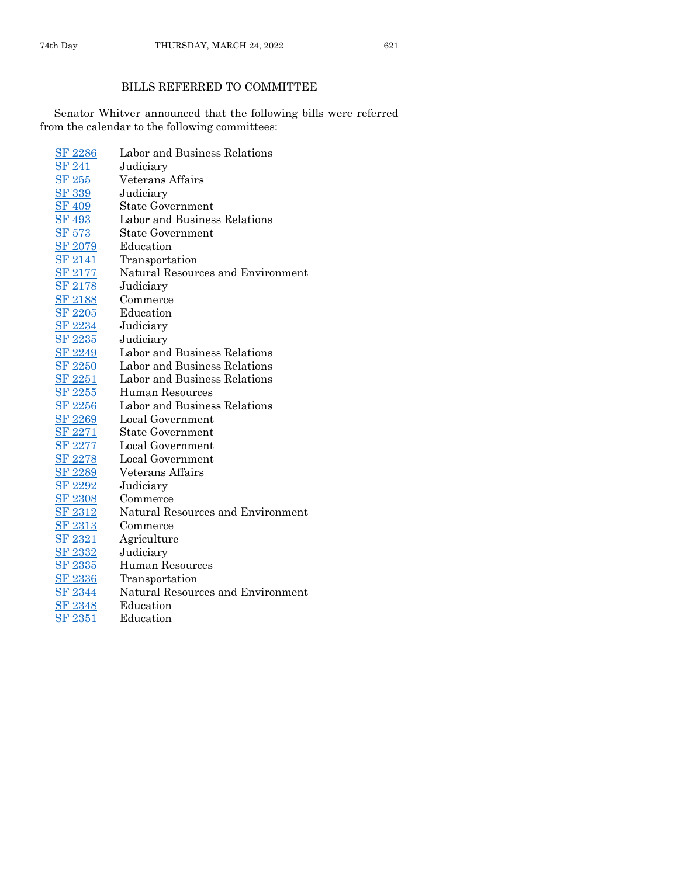## BILLS REFERRED TO COMMITTEE

Senator Whitver announced that the following bills were referred from the calendar to the following committees:

| <b>SF 2286</b> | Labor and Business Relations      |
|----------------|-----------------------------------|
| <b>SF 241</b>  | Judiciary                         |
| <b>SF 255</b>  | Veterans Affairs                  |
| <b>SF 339</b>  | Judiciary                         |
| <b>SF 409</b>  | <b>State Government</b>           |
| <b>SF 493</b>  | Labor and Business Relations      |
| <b>SF 573</b>  | <b>State Government</b>           |
| SF 2079        | Education                         |
| <b>SF 2141</b> | Transportation                    |
| <b>SF 2177</b> | Natural Resources and Environment |
| <u>SF 2178</u> | Judiciary                         |
| <b>SF 2188</b> | Commerce                          |
| <b>SF 2205</b> | Education                         |
| <b>SF 2234</b> | Judiciary                         |
| <u>SF 2235</u> | Judiciary                         |
| <b>SF 2249</b> | Labor and Business Relations      |
| <b>SF 2250</b> | Labor and Business Relations      |
| <b>SF 2251</b> | Labor and Business Relations      |
| <b>SF 2255</b> | Human Resources                   |
| <b>SF 2256</b> | Labor and Business Relations      |
| <b>SF 2269</b> | Local Government                  |
| <b>SF 2271</b> | <b>State Government</b>           |
| <u>SF 2277</u> | Local Government                  |
| <b>SF 2278</b> | Local Government                  |
| <u>SF 2289</u> | Veterans Affairs                  |
| <u>SF 2292</u> | Judiciary                         |
| <b>SF 2308</b> | Commerce                          |
| <u>SF 2312</u> | Natural Resources and Environment |
| <b>SF 2313</b> | Commerce                          |
| SF 2321        | Agriculture                       |
| <b>SF 2332</b> | Judiciary                         |
| <u>SF 2335</u> | <b>Human Resources</b>            |
| SF 2336        | Transportation                    |
| <u>SF 2344</u> | Natural Resources and Environment |
| <b>SF 2348</b> | Education                         |
| <b>SF 2351</b> | Education                         |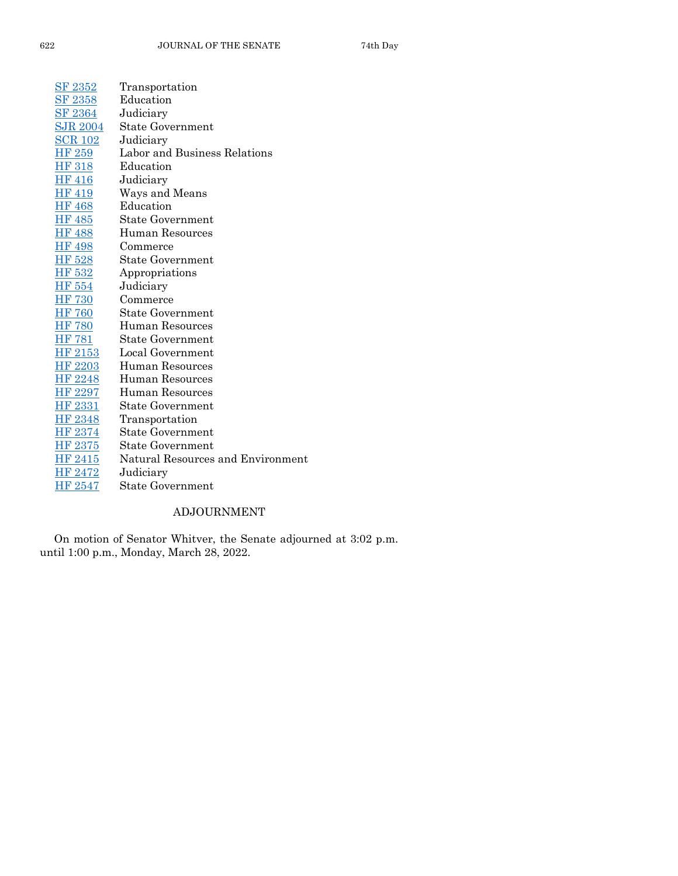| SF 2352        | Transportation                    |
|----------------|-----------------------------------|
| <b>SF 2358</b> | Education                         |
| <u>SF 2364</u> | Judiciary                         |
| SJR 2004       | <b>State Government</b>           |
| <u>SCR 102</u> | Judiciary                         |
| HF 259         | Labor and Business Relations      |
| <b>HF 318</b>  | Education                         |
| <b>HF 416</b>  | Judiciary                         |
| <b>HF 419</b>  | Ways and Means                    |
| <b>HF 468</b>  | Education                         |
| <b>HF 485</b>  | State Government                  |
| <b>HF 488</b>  | Human Resources                   |
| <b>HF 498</b>  | Commerce                          |
| HF 528         | <b>State Government</b>           |
| HF 532         | Appropriations                    |
| <b>HF 554</b>  | Judiciary                         |
| <b>HF 730</b>  | Commerce                          |
| <b>HF 760</b>  | <b>State Government</b>           |
| <b>HF 780</b>  | Human Resources                   |
| HF 781         | <b>State Government</b>           |
| HF 2153        | Local Government                  |
| HF 2203        | Human Resources                   |
| HF 2248        | <b>Human Resources</b>            |
| HF 2297        | Human Resources                   |
| HF 2331        | <b>State Government</b>           |
| <b>HF 2348</b> | Transportation                    |
| HF 2374        | <b>State Government</b>           |
| HF 2375        | State Government                  |
| HF 2415        | Natural Resources and Environment |
| HF 2472        | Judiciary                         |
| HF 2547        | State Government                  |

## ADJOURNMENT

On motion of Senator Whitver, the Senate adjourned at 3:02 p.m. until 1:00 p.m., Monday, March 28, 2022.